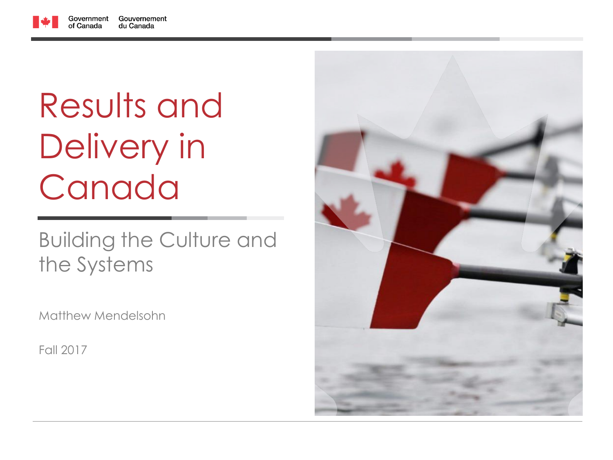

# Results and Delivery in Canada

#### Building the Culture and the Systems

Matthew Mendelsohn

Fall 2017

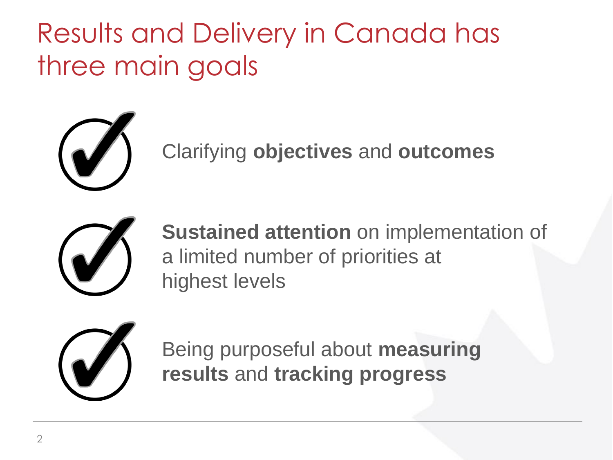Results and Delivery in Canada has three main goals



Clarifying **objectives** and **outcomes**



**Sustained attention** on implementation of a limited number of priorities at highest levels



Being purposeful about **measuring results** and **tracking progress**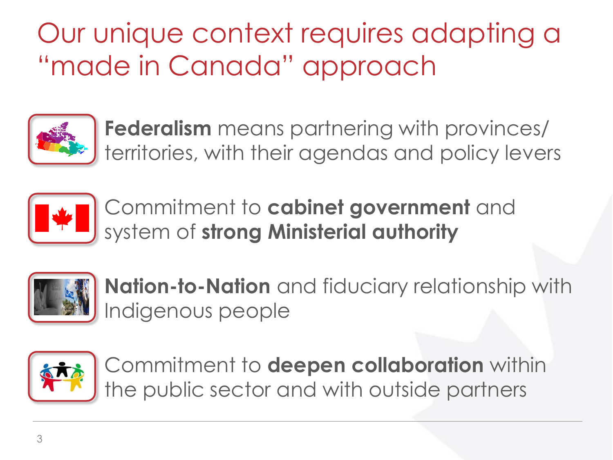## Our unique context requires adapting a "made in Canada" approach



**Federalism** means partnering with provinces/ territories, with their agendas and policy levers



Commitment to **cabinet government** and system of **strong Ministerial authority**



**Nation-to-Nation** and fiduciary relationship with Indigenous people



Commitment to **deepen collaboration** within the public sector and with outside partners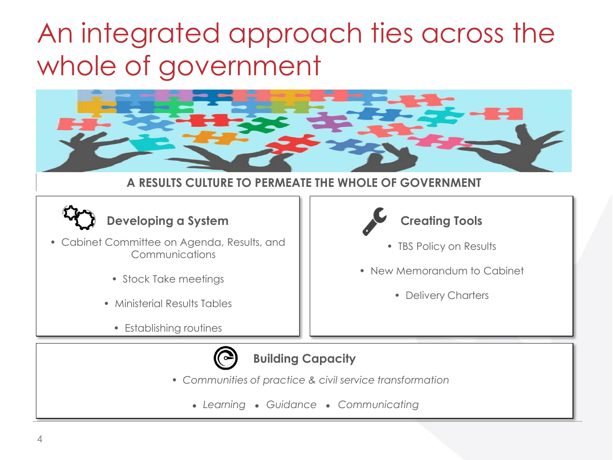### An integrated approach ties across the whole of government



#### **A RESULTS CULTURE TO PERMEATE THE WHOLE OF GOVERNMENT**

#### **Developing a System**

- Cabinet Committee on Agenda, Results, and Communications
	- Stock Take meetings
	- Ministerial Results Tables
		- Establishing routines



#### **Building Capacity**

- *Communities of practice & civil service transformation*
	- *● Learning ● Guidance ● Communicating*



- TBS Policy on Results
- New Memorandum to Cabinet
	- Delivery Charters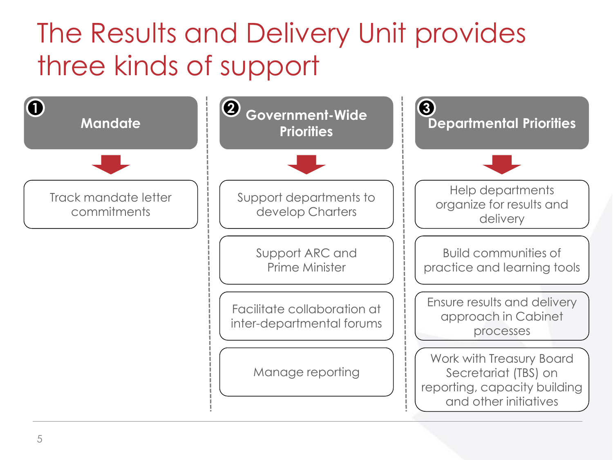### The Results and Delivery Unit provides three kinds of support

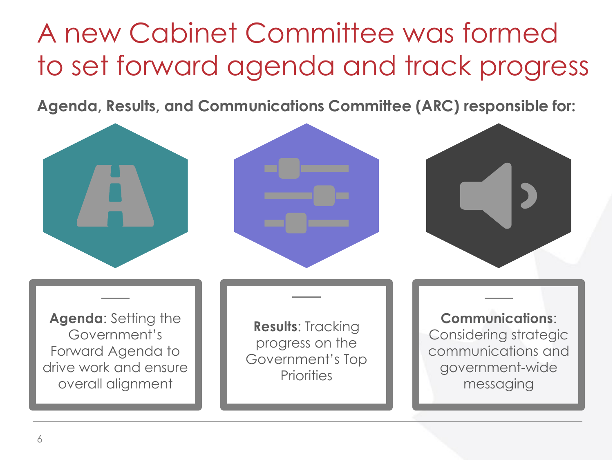### A new Cabinet Committee was formed to set forward agenda and track progress

**Agenda, Results, and Communications Committee (ARC) responsible for:**



Forward Agenda to drive work and ensure overall alignment

Government's Top **Priorities** 

communications and government-wide messaging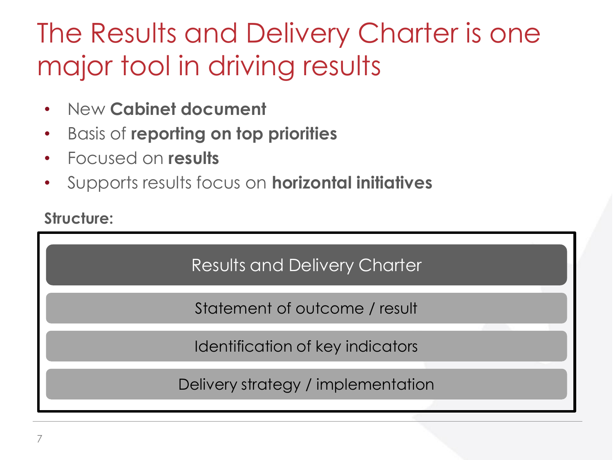### The Results and Delivery Charter is one major tool in driving results

- New **Cabinet document**
- Basis of **reporting on top priorities**
- Focused on **results**
- Supports results focus on **horizontal initiatives**

#### **Structure:**

Results and Delivery Charter

Statement of outcome / result

Identification of key indicators

Delivery strategy / implementation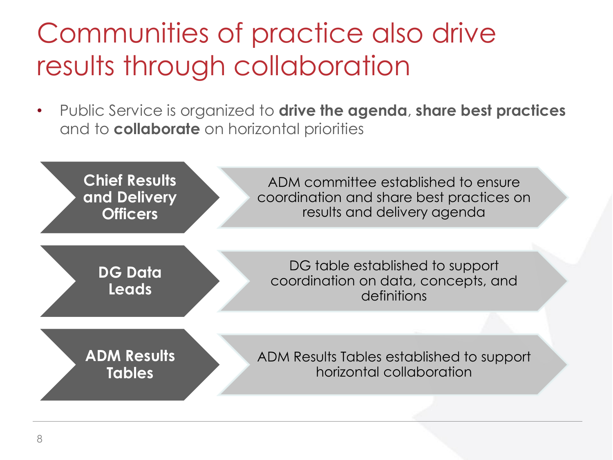### Communities of practice also drive results through collaboration

• Public Service is organized to **drive the agenda**, **share best practices**  and to **collaborate** on horizontal priorities